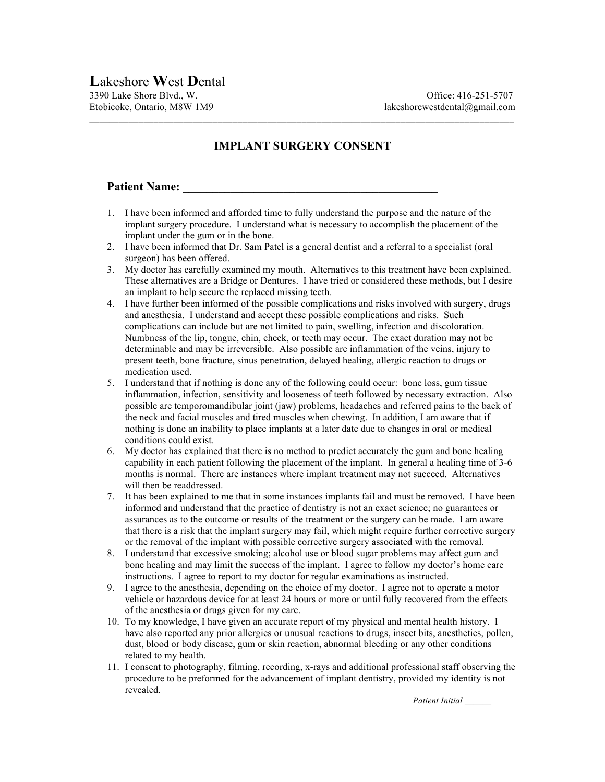\_\_\_\_\_\_\_\_\_\_\_\_\_\_\_\_\_\_\_\_\_\_\_\_\_\_\_\_\_\_\_\_\_\_\_\_\_\_\_\_\_\_\_\_\_\_\_\_\_\_\_\_\_\_\_\_\_\_\_\_\_\_\_\_\_\_\_\_\_\_\_\_\_\_\_\_\_\_\_\_\_\_\_\_\_\_

## **IMPLANT SURGERY CONSENT**

## **Patient Name: \_\_\_\_\_\_\_\_\_\_\_\_\_\_\_\_\_\_\_\_\_\_\_\_\_\_\_\_\_\_\_\_\_\_\_\_\_\_\_\_\_\_\_**

- 1. I have been informed and afforded time to fully understand the purpose and the nature of the implant surgery procedure. I understand what is necessary to accomplish the placement of the implant under the gum or in the bone.
- 2. I have been informed that Dr. Sam Patel is a general dentist and a referral to a specialist (oral surgeon) has been offered.
- 3. My doctor has carefully examined my mouth. Alternatives to this treatment have been explained. These alternatives are a Bridge or Dentures. I have tried or considered these methods, but I desire an implant to help secure the replaced missing teeth.
- 4. I have further been informed of the possible complications and risks involved with surgery, drugs and anesthesia. I understand and accept these possible complications and risks. Such complications can include but are not limited to pain, swelling, infection and discoloration. Numbness of the lip, tongue, chin, cheek, or teeth may occur. The exact duration may not be determinable and may be irreversible. Also possible are inflammation of the veins, injury to present teeth, bone fracture, sinus penetration, delayed healing, allergic reaction to drugs or medication used.
- 5. I understand that if nothing is done any of the following could occur: bone loss, gum tissue inflammation, infection, sensitivity and looseness of teeth followed by necessary extraction. Also possible are temporomandibular joint (jaw) problems, headaches and referred pains to the back of the neck and facial muscles and tired muscles when chewing. In addition, I am aware that if nothing is done an inability to place implants at a later date due to changes in oral or medical conditions could exist.
- 6. My doctor has explained that there is no method to predict accurately the gum and bone healing capability in each patient following the placement of the implant. In general a healing time of 3-6 months is normal. There are instances where implant treatment may not succeed. Alternatives will then be readdressed.
- 7. It has been explained to me that in some instances implants fail and must be removed. I have been informed and understand that the practice of dentistry is not an exact science; no guarantees or assurances as to the outcome or results of the treatment or the surgery can be made. I am aware that there is a risk that the implant surgery may fail, which might require further corrective surgery or the removal of the implant with possible corrective surgery associated with the removal.
- 8. I understand that excessive smoking; alcohol use or blood sugar problems may affect gum and bone healing and may limit the success of the implant. I agree to follow my doctor's home care instructions. I agree to report to my doctor for regular examinations as instructed.
- 9. I agree to the anesthesia, depending on the choice of my doctor. I agree not to operate a motor vehicle or hazardous device for at least 24 hours or more or until fully recovered from the effects of the anesthesia or drugs given for my care.
- 10. To my knowledge, I have given an accurate report of my physical and mental health history. I have also reported any prior allergies or unusual reactions to drugs, insect bits, anesthetics, pollen, dust, blood or body disease, gum or skin reaction, abnormal bleeding or any other conditions related to my health.
- 11. I consent to photography, filming, recording, x-rays and additional professional staff observing the procedure to be preformed for the advancement of implant dentistry, provided my identity is not revealed.

*Patient Initial* \_\_\_\_\_\_